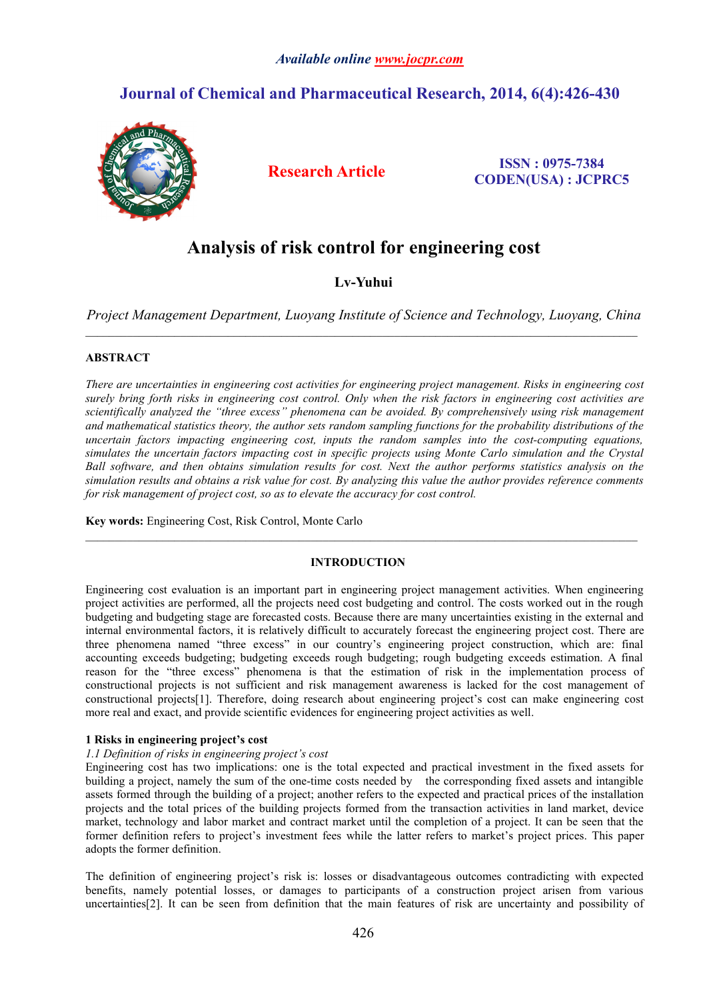# *Available online [www.jocpr.com](http://www.jocpr.com)*

# **Journal of Chemical and Pharmaceutical Research, 2014, 6(4):426-430**



**Research Article ISSN : 0975-7384 CODEN(USA) : JCPRC5**

# **Analysis of risk control for engineering cost**

# **Lv-Yuhui**

*Project Management Department, Luoyang Institute of Science and Technology, Luoyang, China*

 $\_$  , and the state of the state of the state of the state of the state of the state of the state of the state of the state of the state of the state of the state of the state of the state of the state of the state of the

 $\_$  , and the state of the state of the state of the state of the state of the state of the state of the state of the state of the state of the state of the state of the state of the state of the state of the state of the

# **ABSTRACT**

*There are uncertainties in engineering cost activities for engineering project management. Risks in engineering cost* surely bring forth risks in engineering cost control. Only when the risk factors in engineering cost activities are *scientifically analyzed the "three excess" phenomena can be avoided. By comprehensively using risk management* and mathematical statistics theory, the author sets random sampling functions for the probability distributions of the *uncertain factors impacting engineering cost, inputs the random samples into the cost-computing equations, simulates the uncertain factors impacting cost in specific projects using Monte Carlo simulation and the Crystal* Ball software, and then obtains simulation results for cost. Next the author performs statistics analysis on the simulation results and obtains a risk value for cost. By analyzing this value the author provides reference comments *for risk management of project cost, so as to elevate the accuracy for cost control.*

**Key words:**Engineering Cost, Risk Control, Monte Carlo

# **INTRODUCTION**

Engineering cost evaluation is an important part in engineering project management activities. When engineering project activities are performed, all the projects need cost budgeting and control. The costs worked out in the rough budgeting and budgeting stage are forecasted costs. Because there are many uncertainties existing in the external and internal environmental factors, it is relatively difficult to accurately forecast the engineering project cost. There are three phenomena named "three excess" in our country's engineering project construction, which are: final accounting exceeds budgeting; budgeting exceeds rough budgeting; rough budgeting exceeds estimation. A final reason for the "three excess" phenomena is that the estimation of risk in the implementation process of constructional projects is not sufficient and risk management awareness is lacked for the cost management of constructional projects[1]. Therefore, doing research about engineering project's cost can make engineering cost more real and exact, and provide scientific evidences for engineering project activities as well.

#### **1 Risks in engineering project's cost**

#### *1.1 Definition of risks in engineering project's cost*

Engineering cost has two implications: one is the total expected and practical investment in the fixed assets for building a project, namely the sum of the one-time costs needed by the corresponding fixed assets and intangible assets formed through the building of a project; another refers to the expected and practical prices of the installation projects and the total prices of the building projects formed from the transaction activities in land market, device market, technology and labor market and contract market until the completion of a project. It can be seen that the former definition refers to project's investment fees while the latter refers to market's project prices. This paper adopts the former definition.

The definition of engineering project's risk is: losses or disadvantageous outcomes contradicting with expected benefits, namely potential losses, or damages to participants of a construction project arisen from various uncertainties[2]. It can be seen from definition that the main features of risk are uncertainty and possibility of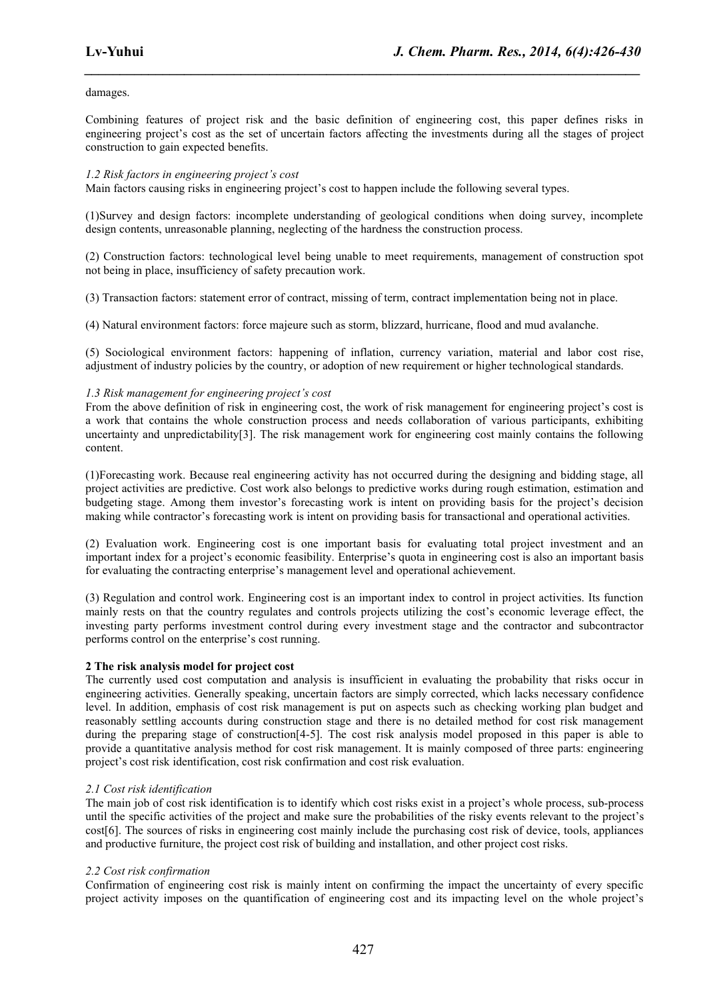### damages.

Combining features of project risk and the basic definition of engineering cost, this paper defines risks in engineering project's cost as the set of uncertain factors affecting the investments during all the stages of project construction to gain expected benefits.

*\_\_\_\_\_\_\_\_\_\_\_\_\_\_\_\_\_\_\_\_\_\_\_\_\_\_\_\_\_\_\_\_\_\_\_\_\_\_\_\_\_\_\_\_\_\_\_\_\_\_\_\_\_\_\_\_\_\_\_\_\_\_\_\_\_\_\_\_\_\_\_\_\_\_\_\_\_\_*

#### *1.2 Risk factors in engineering project's cost*

Main factors causing risks in engineering project's cost to happen include the following several types.

(1)Survey and design factors: incomplete understanding of geological conditions when doing survey, incomplete design contents, unreasonable planning, neglecting of the hardness the construction process.

(2) Construction factors: technological level being unable to meet requirements, management of construction spot not being in place, insufficiency of safety precaution work.

(3) Transaction factors: statement error of contract, missing of term, contract implementation being not in place.

(4) Natural environment factors: force majeure such as storm, blizzard, hurricane, flood and mud avalanche.

(5) Sociological environment factors: happening of inflation, currency variation, material and labor cost rise, adjustment of industry policies by the country, or adoption of new requirement or higher technological standards.

#### *1.3 Risk management for engineering project's cost*

From the above definition of risk in engineering cost, the work of risk management for engineering project's cost is a work that contains the whole construction process and needs collaboration of various participants, exhibiting uncertainty and unpredictability[3]. The risk management work for engineering cost mainly contains the following content.

(1)Forecasting work. Because real engineering activity has not occurred during the designing and bidding stage, all project activities are predictive. Cost work also belongs to predictive works during rough estimation, estimation and budgeting stage. Among them investor's forecasting work is intent on providing basis for the project's decision making while contractor's forecasting work is intent on providing basis for transactional and operational activities.

(2) Evaluation work. Engineering cost is one important basis for evaluating total project investment and an important index for a project's economic feasibility. Enterprise's quota in engineering cost is also an importantbasis for evaluating the contracting enterprise's management level and operational achievement.

(3) Regulation and control work. Engineering cost is an importantindex to controlin project activities. Its function mainly rests on that the country regulates and controls projects utilizing the cost's economic leverage effect, the investing party performs investment control during every investment stage and the contractor and subcontractor performs control on the enterprise's cost running.

#### **2 The risk analysis model for project cost**

The currently used cost computation and analysis is insufficient in evaluating the probability that risks occur in engineering activities. Generally speaking, uncertain factors are simply corrected, which lacks necessary confidence level. In addition, emphasis of cost risk management is put on aspects such as checking working plan budget and reasonably settling accounts during construction stage and there is no detailed method for cost risk management during the preparing stage of construction[4-5]. The cost risk analysis model proposed in this paper is able to provide a quantitative analysis method for cost risk management. It is mainly composed of three parts: engineering project's cost risk identification, cost risk confirmation and cost risk evaluation.

# *2.1 Cost risk identification*

The main job of cost risk identification is to identify which cost risks existin a project's whole process, sub-process until the specific activities of the project and make sure the probabilities of the risky events relevant to the project's cost[6]. The sources of risks in engineering cost mainly include the purchasing cost risk of device, tools, appliances and productive furniture, the project cost risk of building and installation, and other project cost risks.

# *2.2 Cost risk confirmation*

Confirmation of engineering cost risk is mainly intent on confirming the impact the uncertainty of every specific project activity imposes on the quantification of engineering cost and its impacting level on the whole project's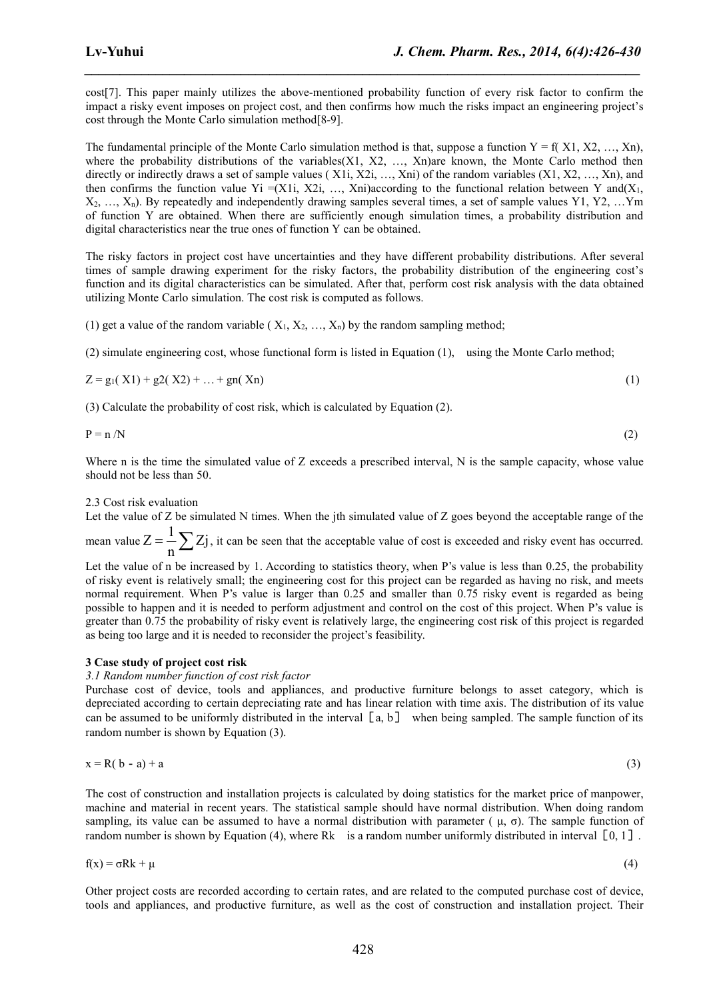cost[7]. This paper mainly utilizes the above-mentioned probability function of every risk factor to confirm the impact a risky event imposes on project cost, and then confirms how much the risks impact an engineering project's cost through the Monte Carlo simulation method[8-9].

*\_\_\_\_\_\_\_\_\_\_\_\_\_\_\_\_\_\_\_\_\_\_\_\_\_\_\_\_\_\_\_\_\_\_\_\_\_\_\_\_\_\_\_\_\_\_\_\_\_\_\_\_\_\_\_\_\_\_\_\_\_\_\_\_\_\_\_\_\_\_\_\_\_\_\_\_\_\_*

The fundamental principle of the Monte Carlo simulation method is that, suppose a function  $Y = f(X1, X2, ..., Xn)$ , where the probability distributions of the variables $(X1, X2, \ldots, Xn)$ are known, the Monte Carlo method then directly or indirectly draws a set of sample values (X1i, X2i, …, Xni) of the random variables (X1, X2, …, Xn), and then confirms the function value Yi =(X1i, X2i, ..., Xni)according to the functional relation between Y and(X<sub>1</sub>,  $X_2, \ldots, X_n$ ). By repeatedly and independently drawing samples several times, a set of sample values Y1, Y2,  $\ldots$ Ym of function Y are obtained. When there are sufficiently enough simulation times, a probability distribution and digital characteristics near the true ones of function Y can be obtained.

The risky factors in project cost have uncertainties and they have different probability distributions. After several times of sample drawing experiment for the risky factors, the probability distribution of the engineering cost's function and its digital characteristics can be simulated. After that, perform cost risk analysis with the data obtained utilizing Monte Carlo simulation.The cost risk is computed as follows.

(1) get a value of the random variable ( $X_1, X_2, ..., X_n$ ) by the random sampling method;

(2) simulate engineering cost, whose functional form is listed in Equation (1), using the Monte Carlo method;

$$
Z = g_1(X1) + g2(X2) + ... + g_n(Xn)
$$
 (1)

(3) Calculate the probability of cost risk, which is calculated by Equation (2).

$$
P = n / N \tag{2}
$$

Where n is the time the simulated value of Z exceeds a prescribed interval, N is the sample capacity, whose value should not be less than 50.

#### 2.3 Cost risk evaluation

Let the value of  $Z$  be simulated N times. When the jth simulated value of  $Z$  goes beyond the acceptable range of the mean value  $Z = \frac{1}{n} \sum Z_j$ , it can be seen that the acceptable value  $Z = \frac{1}{n} \sum Z$  , it can be seen that the acceptable value of cost is exceeded and risky event has occurred.

Let the value of n be increased by 1. According to statistics theory, when P's value is less than 0.25, the probability of risky event is relatively small; the engineering cost for this project can be regarded as having no risk, and meets normal requirement. When P's value is larger than 0.25 and smaller than 0.75 risky event is regarded as being possible to happen and it is needed to perform adjustment and control on the cost of this project. When P's value is greater than 0.75 the probability of risky event is relatively large, the engineering cost risk of this project is regarded as being too large and it is needed to reconsider the project's feasibility.

# **3 Case study of project cost risk**

*3.1 Random number function of cost risk factor*

Purchase cost of device, tools and appliances, and productive furniture belongs to asset category, which is depreciated according to certain depreciating rate and has linear relation with time axis. The distribution of its value can be assumed to be uniformly distributed in the interval  $[a, b]$  when being sampled. The sample function of its random number is shown by Equation (3).

$$
x = R(b - a) + a \tag{3}
$$

The cost of construction and installation projects is calculated by doing statistics for the market price of manpower, machine and material in recent years. The statistical sample should have normal distribution. When doing random sampling, its value can be assumed to have a normal distribution with parameter ( $\mu$ ,  $\sigma$ ). The sample function of random number is shown by Equation (4), where Rk is a random number uniformly distributed in interval  $\lceil 0, 1 \rceil$ .

$$
f(x) = \sigma Rk + \mu \tag{4}
$$

Other project costs are recorded according to certain rates, and are related to the computed purchase cost of device, tools and appliances, and productive furniture, as wellas the cost of construction and installation project. Their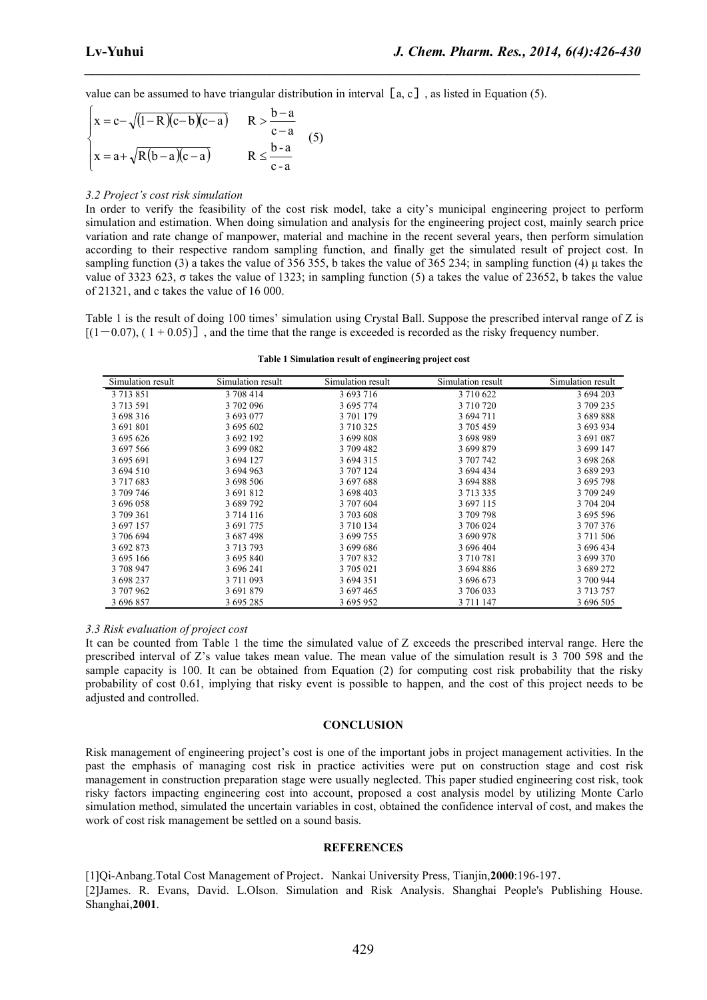*\_\_\_\_\_\_\_\_\_\_\_\_\_\_\_\_\_\_\_\_\_\_\_\_\_\_\_\_\_\_\_\_\_\_\_\_\_\_\_\_\_\_\_\_\_\_\_\_\_\_\_\_\_\_\_\_\_\_\_\_\_\_\_\_\_\_\_\_\_\_\_\_\_\_\_\_\_\_*

value can be assumed to have triangular distribution in interval  $[a, c]$ , as listed in Equation (5).

$$
\begin{cases}\nx = c - \sqrt{(1 - R)(c - b)(c - a)} & R > \frac{b - a}{c - a} \\
x = a + \sqrt{R(b - a)(c - a)} & R \leq \frac{b - a}{c - a}\n\end{cases}
$$
\n(5)

#### *3.2 Project's cost risk simulation*

In order to verify the feasibility of the cost risk model, take a city's municipal engineering project to perform simulation and estimation.When doing simulation and analysis for the engineering project cost, mainly search price variation and rate change of manpower, material and machine in the recent several years, then perform simulation according to their respective random sampling function, and finally get the simulated result of project cost. In sampling function (3) a takes the value of 356 355, b takes the value of 365 234; in sampling function (4) μ takes the value of 3323 623, σ takes the value of 1323; in sampling function (5) a takes the value of 23652, b takes the value of 21321, and c takes the value of 16 000.

Table 1 is the result of doing 100 times' simulation using Crystal Ball. Suppose the prescribed interval range of Z is  $[(1-0.07), (1+0.05)]$ , and the time that the range is exceeded is recorded as the risky frequency number.

| Simulation result | Simulation result | Simulation result | Simulation result | Simulation result |
|-------------------|-------------------|-------------------|-------------------|-------------------|
| 3 7 1 3 8 5 1     | 3 708 414         | 3 693 716         | 3710622           | 3 694 203         |
| 3 7 1 3 5 9 1     | 3702096           | 3 695 774         | 3 710 720         | 3 709 235         |
| 3 698 316         | 3 693 077         | 3 701 179         | 3 694 711         | 3689888           |
| 3 691 801         | 3 695 602         | 3 710 325         | 3 705 459         | 3 693 934         |
| 3 695 626         | 3 692 192         | 3 699 808         | 3698989           | 3 691 087         |
| 3 697 566         | 3 699 082         | 3 709 482         | 3 699 879         | 3 699 147         |
| 3 695 691         | 3 694 127         | 3 694 315         | 3 707 742         | 3 698 268         |
| 3 694 510         | 3 694 963         | 3 707 124         | 3 694 434         | 3 689 293         |
| 3 7 1 7 6 8 3     | 3 698 506         | 3697688           | 3 694 888         | 3 695 798         |
| 3 709 746         | 3 691 812         | 3 698 403         | 3 713 335         | 3 709 249         |
| 3 696 058         | 3 689 792         | 3 707 604         | 3 697 115         | 3 704 204         |
| 3 709 361         | 3 7 14 1 16       | 3 703 608         | 3709798           | 3 695 596         |
| 3 697 157         | 3 691 775         | 3 7 10 1 34       | 3 706 024         | 3 707 376         |
| 3 706 694         | 3 687 498         | 3 699 755         | 3 690 978         | 3 711 506         |
| 3 692 873         | 3 713 793         | 3 699 686         | 3 696 404         | 3 696 434         |
| 3 695 166         | 3 695 840         | 3 707 832         | 3710781           | 3 699 370         |
| 3 708 947         | 3 696 241         | 3 705 021         | 3 694 886         | 3 689 272         |
| 3 698 237         | 3 711 093         | 3 694 351         | 3 696 673         | 3 700 944         |
| 3 707 962         | 3 691 879         | 3 697 465         | 3 706 033         | 3 713 757         |
| 3 696 857         | 3 695 285         | 3 695 952         | 3 711 147         | 3 696 505         |

#### **Table 1 Simulation result of engineering project cost**

#### *3.3 Risk evaluation of project cost*

It can be counted from Table 1 the time the simulated value of Z exceeds the prescribed interval range. Here the prescribed interval of Z's value takes mean value. The mean value of the simulation result is 3 700 598 and the sample capacity is 100. It can be obtained from Equation (2) for computing cost risk probability that the risky probability of cost 0.61, implying that risky event is possible to happen, and the cost of this project needs to be adjusted and controlled.

#### **CONCLUSION**

Risk management of engineering project's cost is one of the important jobs in project management activities. In the past the emphasis of managing cost risk in practice activities were put on construction stage and cost risk management in construction preparation stage were usually neglected. This paper studied engineering cost risk, took risky factors impacting engineering cost into account, proposed a cost analysis model by utilizing Monte Carlo simulation method, simulated the uncertain variables in cost, obtained the confidence interval of cost, and makes the work of cost risk management be settled on a sound basis.

#### **REFERENCES**

[1]Qi-Anbang.Total Cost Management of Project.Nankai University Press, Tianjin,**2000**:196-197. [2]James. R. Evans, David. L.Olson. Simulation and Risk Analysis. Shanghai People's Publishing House. Shanghai,**2001**.